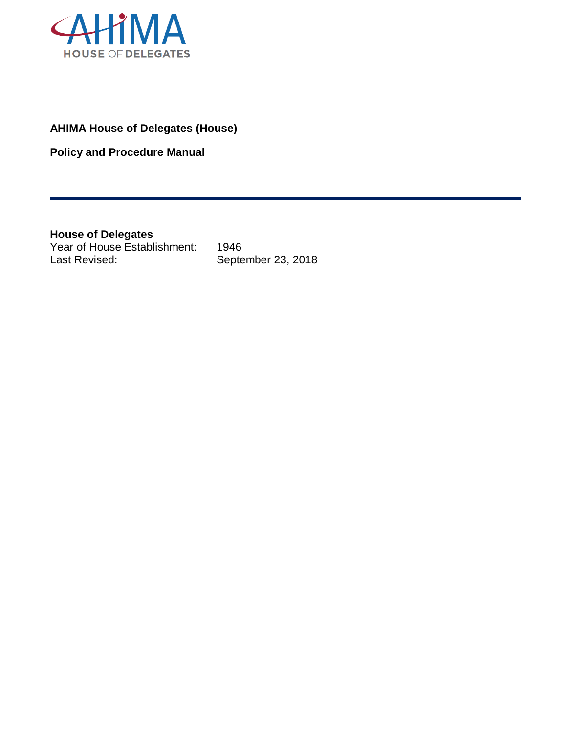

# **AHIMA House of Delegates (House)**

**Policy and Procedure Manual**

<span id="page-0-0"></span>**House of Delegates** Year of House Establishment: 1946 Last Revised: September 23, 2018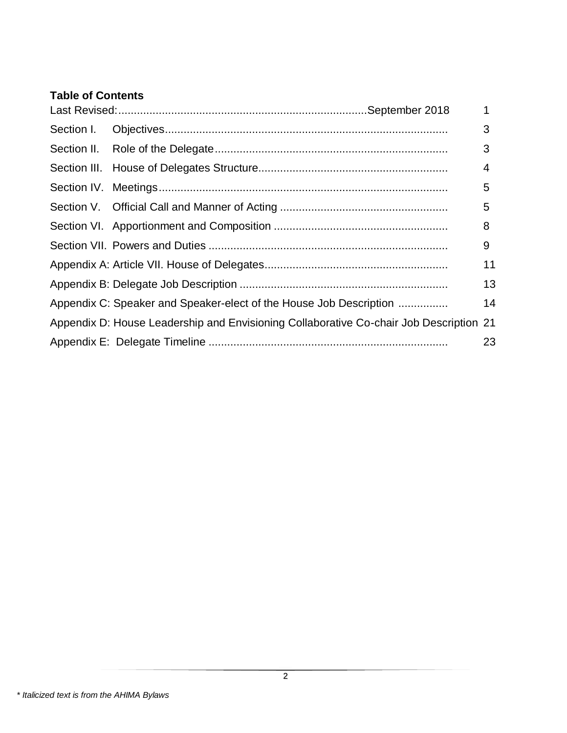# **Table of Contents**

|            |                                                                                        | $\mathbf{1}$ |
|------------|----------------------------------------------------------------------------------------|--------------|
| Section I. |                                                                                        | 3            |
|            |                                                                                        | 3            |
|            |                                                                                        | 4            |
|            |                                                                                        | 5            |
|            |                                                                                        | 5            |
|            |                                                                                        | 8            |
|            |                                                                                        | 9            |
|            |                                                                                        | 11           |
|            |                                                                                        | 13           |
|            | Appendix C: Speaker and Speaker-elect of the House Job Description                     | 14           |
|            | Appendix D: House Leadership and Envisioning Collaborative Co-chair Job Description 21 |              |
|            |                                                                                        | 23           |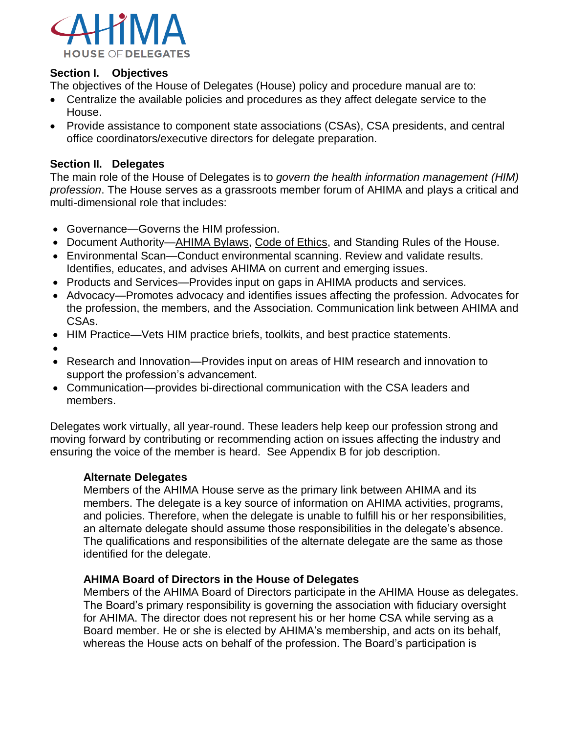

#### <span id="page-2-0"></span>**Section I. Objectives**

The objectives of the House of Delegates (House) policy and procedure manual are to:

- Centralize the available policies and procedures as they affect delegate service to the House.
- Provide assistance to component state associations (CSAs), CSA presidents, and central office coordinators/executive directors for delegate preparation.

#### <span id="page-2-1"></span>**Section II. Delegates**

The main role of the House of Delegates is to *govern the health information management (HIM) profession*. The House serves as a grassroots member forum of AHIMA and plays a critical and multi-dimensional role that includes:

- Governance—Governs the HIM profession.
- Document Authority[—AHIMA Bylaws,](http://library.ahima.org/xpedio/groups/public/documents/ahima/bok1_049286.pdf) [Code of Ethics,](http://library.ahima.org/xpedio/groups/public/documents/ahima/bok1_024277.hcsp?dDocName=bok1_024277) and Standing Rules of the House.
- Environmental Scan—Conduct environmental scanning. Review and validate results. Identifies, educates, and advises AHIMA on current and emerging issues.
- Products and Services—Provides input on gaps in AHIMA products and services.
- Advocacy—Promotes advocacy and identifies issues affecting the profession. Advocates for the profession, the members, and the Association. Communication link between AHIMA and CSAs.
- HIM Practice—Vets HIM practice briefs, toolkits, and best practice statements.
- •
- Research and Innovation—Provides input on areas of HIM research and innovation to support the profession's advancement.
- Communication—provides bi-directional communication with the CSA leaders and members.

Delegates work virtually, all year-round. These leaders help keep our profession strong and moving forward by contributing or recommending action on issues affecting the industry and ensuring the voice of the member is heard. See Appendix B for job description.

#### **Alternate Delegates**

Members of the AHIMA House serve as the primary link between AHIMA and its members. The delegate is a key source of information on AHIMA activities, programs, and policies. Therefore, when the delegate is unable to fulfill his or her responsibilities, an alternate delegate should assume those responsibilities in the delegate's absence. The qualifications and responsibilities of the alternate delegate are the same as those identified for the delegate.

#### **AHIMA Board of Directors in the House of Delegates**

Members of the AHIMA Board of Directors participate in the AHIMA House as delegates. The Board's primary responsibility is governing the association with fiduciary oversight for AHIMA. The director does not represent his or her home CSA while serving as a Board member. He or she is elected by AHIMA's membership, and acts on its behalf, whereas the House acts on behalf of the profession. The Board's participation is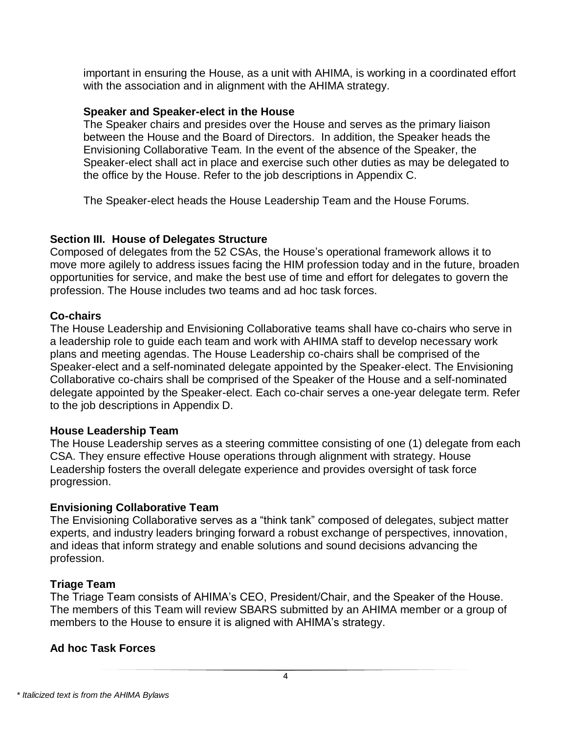important in ensuring the House, as a unit with AHIMA, is working in a coordinated effort with the association and in alignment with the AHIMA strategy.

#### **Speaker and Speaker-elect in the House**

The Speaker chairs and presides over the House and serves as the primary liaison between the House and the Board of Directors. In addition, the Speaker heads the Envisioning Collaborative Team. In the event of the absence of the Speaker, the Speaker-elect shall act in place and exercise such other duties as may be delegated to the office by the House. Refer to the job descriptions in Appendix C.

The Speaker-elect heads the House Leadership Team and the House Forums.

#### <span id="page-3-0"></span>**Section III. House of Delegates Structure**

Composed of delegates from the 52 CSAs, the House's operational framework allows it to move more agilely to address issues facing the HIM profession today and in the future, broaden opportunities for service, and make the best use of time and effort for delegates to govern the profession. The House includes two teams and ad hoc task forces.

#### **Co-chairs**

The House Leadership and Envisioning Collaborative teams shall have co-chairs who serve in a leadership role to guide each team and work with AHIMA staff to develop necessary work plans and meeting agendas. The House Leadership co-chairs shall be comprised of the Speaker-elect and a self-nominated delegate appointed by the Speaker-elect. The Envisioning Collaborative co-chairs shall be comprised of the Speaker of the House and a self-nominated delegate appointed by the Speaker-elect. Each co-chair serves a one-year delegate term. Refer to the job descriptions in Appendix D.

### **House Leadership Team**

The House Leadership serves as a steering committee consisting of one (1) delegate from each CSA. They ensure effective House operations through alignment with strategy. House Leadership fosters the overall delegate experience and provides oversight of task force progression.

### **Envisioning Collaborative Team**

The Envisioning Collaborative serves as a "think tank" composed of delegates, subject matter experts, and industry leaders bringing forward a robust exchange of perspectives, innovation, and ideas that inform strategy and enable solutions and sound decisions advancing the profession.

### **Triage Team**

The Triage Team consists of AHIMA's CEO, President/Chair, and the Speaker of the House. The members of this Team will review SBARS submitted by an AHIMA member or a group of members to the House to ensure it is aligned with AHIMA's strategy.

### **Ad hoc Task Forces**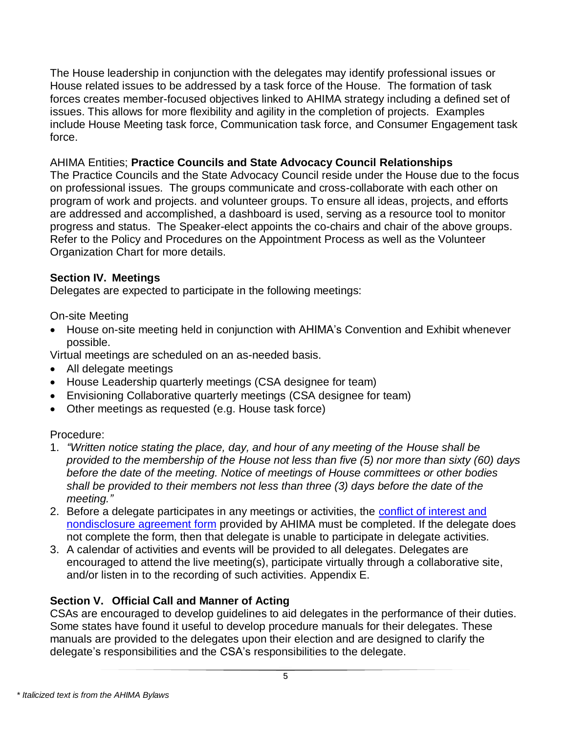The House leadership in conjunction with the delegates may identify professional issues or House related issues to be addressed by a task force of the House. The formation of task forces creates member-focused objectives linked to AHIMA strategy including a defined set of issues. This allows for more flexibility and agility in the completion of projects. Examples include House Meeting task force, Communication task force, and Consumer Engagement task force.

### AHIMA Entities; **Practice Councils and State Advocacy Council Relationships**

The Practice Councils and the State Advocacy Council reside under the House due to the focus on professional issues. The groups communicate and cross-collaborate with each other on program of work and projects. and volunteer groups. To ensure all ideas, projects, and efforts are addressed and accomplished, a dashboard is used, serving as a resource tool to monitor progress and status. The Speaker-elect appoints the co-chairs and chair of the above groups. Refer to the Policy and Procedures on the Appointment Process as well as the Volunteer Organization Chart for more details.

## <span id="page-4-0"></span>**Section IV. Meetings**

Delegates are expected to participate in the following meetings:

On-site Meeting

• House on-site meeting held in conjunction with AHIMA's Convention and Exhibit whenever possible.

Virtual meetings are scheduled on an as-needed basis.

- All delegate meetings
- House Leadership quarterly meetings (CSA designee for team)
- Envisioning Collaborative quarterly meetings (CSA designee for team)
- Other meetings as requested (e.g. House task force)

# Procedure:

- 1. *"Written notice stating the place, day, and hour of any meeting of the House shall be provided to the membership of the House not less than five (5) nor more than sixty (60) days before the date of the meeting. Notice of meetings of House committees or other bodies shall be provided to their members not less than three (3) days before the date of the meeting."*
- 2. Before a delegate participates in any meetings or activities, the [conflict of interest and](https://www.surveymonkey.com/r/AHIMACOI2018)  [nondisclosure agreement form](https://www.surveymonkey.com/r/AHIMACOI2018) provided by AHIMA must be completed. If the delegate does not complete the form, then that delegate is unable to participate in delegate activities.
- 3. A calendar of activities and events will be provided to all delegates. Delegates are encouraged to attend the live meeting(s), participate virtually through a collaborative site, and/or listen in to the recording of such activities. Appendix E.

# <span id="page-4-1"></span>**Section V. Official Call and Manner of Acting**

CSAs are encouraged to develop guidelines to aid delegates in the performance of their duties. Some states have found it useful to develop procedure manuals for their delegates. These manuals are provided to the delegates upon their election and are designed to clarify the delegate's responsibilities and the CSA's responsibilities to the delegate.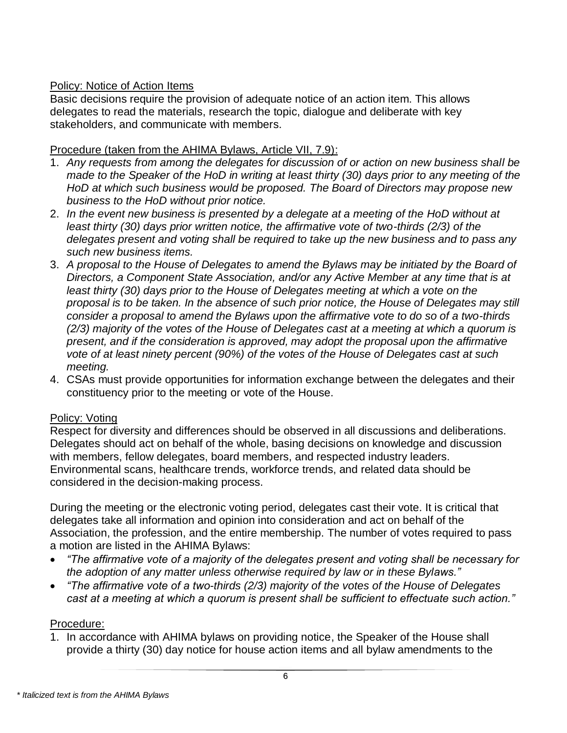## Policy: Notice of Action Items

Basic decisions require the provision of adequate notice of an action item. This allows delegates to read the materials, research the topic, dialogue and deliberate with key stakeholders, and communicate with members.

### Procedure (taken from the AHIMA Bylaws, Article VII, 7.9):

- 1. *Any requests from among the delegates for discussion of or action on new business shall be made to the Speaker of the HoD in writing at least thirty (30) days prior to any meeting of the HoD at which such business would be proposed. The Board of Directors may propose new business to the HoD without prior notice.*
- 2. *In the event new business is presented by a delegate at a meeting of the HoD without at least thirty (30) days prior written notice, the affirmative vote of two-thirds (2/3) of the delegates present and voting shall be required to take up the new business and to pass any such new business items.*
- 3. *A proposal to the House of Delegates to amend the Bylaws may be initiated by the Board of Directors, a Component State Association, and/or any Active Member at any time that is at least thirty (30) days prior to the House of Delegates meeting at which a vote on the proposal is to be taken. In the absence of such prior notice, the House of Delegates may still consider a proposal to amend the Bylaws upon the affirmative vote to do so of a two-thirds (2/3) majority of the votes of the House of Delegates cast at a meeting at which a quorum is present, and if the consideration is approved, may adopt the proposal upon the affirmative vote of at least ninety percent (90%) of the votes of the House of Delegates cast at such meeting.*
- 4. CSAs must provide opportunities for information exchange between the delegates and their constituency prior to the meeting or vote of the House.

### Policy: Voting

Respect for diversity and differences should be observed in all discussions and deliberations. Delegates should act on behalf of the whole, basing decisions on knowledge and discussion with members, fellow delegates, board members, and respected industry leaders. Environmental scans, healthcare trends, workforce trends, and related data should be considered in the decision-making process.

During the meeting or the electronic voting period, delegates cast their vote. It is critical that delegates take all information and opinion into consideration and act on behalf of the Association, the profession, and the entire membership. The number of votes required to pass a motion are listed in the AHIMA Bylaws:

- *"The affirmative vote of a majority of the delegates present and voting shall be necessary for the adoption of any matter unless otherwise required by law or in these Bylaws."*
- *"The affirmative vote of a two-thirds (2/3) majority of the votes of the House of Delegates cast at a meeting at which a quorum is present shall be sufficient to effectuate such action."*

# Procedure:

1. In accordance with AHIMA bylaws on providing notice, the Speaker of the House shall provide a thirty (30) day notice for house action items and all bylaw amendments to the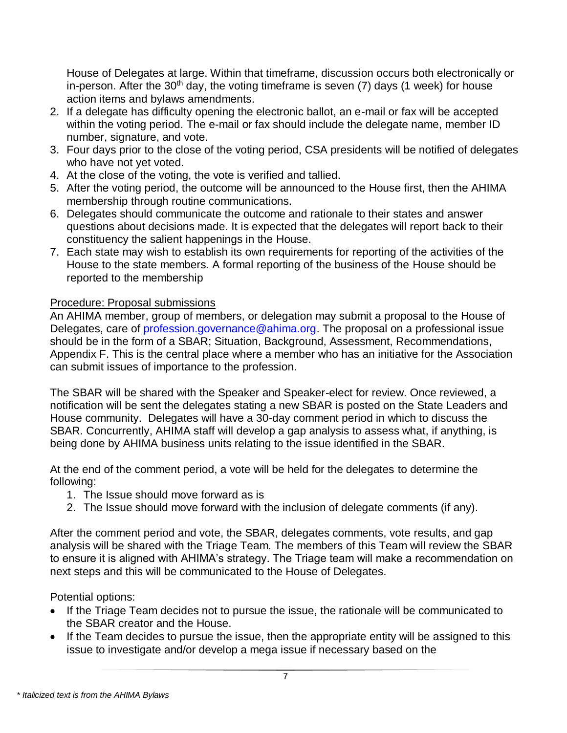House of Delegates at large. Within that timeframe, discussion occurs both electronically or in-person. After the  $30<sup>th</sup>$  day, the voting timeframe is seven (7) days (1 week) for house action items and bylaws amendments.

- 2. If a delegate has difficulty opening the electronic ballot, an e-mail or fax will be accepted within the voting period. The e-mail or fax should include the delegate name, member ID number, signature, and vote.
- 3. Four days prior to the close of the voting period, CSA presidents will be notified of delegates who have not yet voted.
- 4. At the close of the voting, the vote is verified and tallied.
- 5. After the voting period, the outcome will be announced to the House first, then the AHIMA membership through routine communications.
- 6. Delegates should communicate the outcome and rationale to their states and answer questions about decisions made. It is expected that the delegates will report back to their constituency the salient happenings in the House.
- 7. Each state may wish to establish its own requirements for reporting of the activities of the House to the state members. A formal reporting of the business of the House should be reported to the membership

# Procedure: Proposal submissions

An AHIMA member, group of members, or delegation may submit a proposal to the House of Delegates, care of [profession.governance@ahima.org.](mailto:profession.governance@ahima.org) The proposal on a professional issue should be in the form of a SBAR; Situation, Background, Assessment, Recommendations, Appendix F. This is the central place where a member who has an initiative for the Association can submit issues of importance to the profession.

The SBAR will be shared with the Speaker and Speaker-elect for review. Once reviewed, a notification will be sent the delegates stating a new SBAR is posted on the State Leaders and House community. Delegates will have a 30-day comment period in which to discuss the SBAR. Concurrently, AHIMA staff will develop a gap analysis to assess what, if anything, is being done by AHIMA business units relating to the issue identified in the SBAR.

At the end of the comment period, a vote will be held for the delegates to determine the following:

- 1. The Issue should move forward as is
- 2. The Issue should move forward with the inclusion of delegate comments (if any).

After the comment period and vote, the SBAR, delegates comments, vote results, and gap analysis will be shared with the Triage Team. The members of this Team will review the SBAR to ensure it is aligned with AHIMA's strategy. The Triage team will make a recommendation on next steps and this will be communicated to the House of Delegates.

Potential options:

- If the Triage Team decides not to pursue the issue, the rationale will be communicated to the SBAR creator and the House.
- If the Team decides to pursue the issue, then the appropriate entity will be assigned to this issue to investigate and/or develop a mega issue if necessary based on the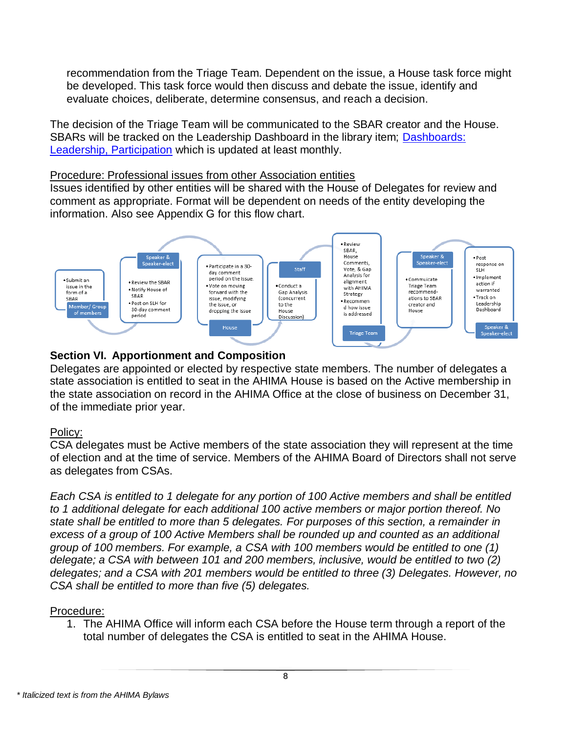recommendation from the Triage Team. Dependent on the issue, a House task force might be developed. This task force would then discuss and debate the issue, identify and evaluate choices, deliberate, determine consensus, and reach a decision.

The decision of the Triage Team will be communicated to the SBAR creator and the House. SBARs will be tracked on the Leadership Dashboard in the library item; Dashboards: [Leadership, Participation](https://engage.ahima.org/viewdocument/house-of-delegates-l?CommunityKey=b7879dc5-14c3-4d79-8c9f-387950d70c05&tab=librarydocuments) which is updated at least monthly.

#### Procedure: Professional issues from other Association entities

Issues identified by other entities will be shared with the House of Delegates for review and comment as appropriate. Format will be dependent on needs of the entity developing the information. Also see Appendix G for this flow chart.



## <span id="page-7-0"></span>**Section VI. Apportionment and Composition**

Delegates are appointed or elected by respective state members. The number of delegates a state association is entitled to seat in the AHIMA House is based on the Active membership in the state association on record in the AHIMA Office at the close of business on December 31, of the immediate prior year.

### Policy:

CSA delegates must be Active members of the state association they will represent at the time of election and at the time of service. Members of the AHIMA Board of Directors shall not serve as delegates from CSAs.

*Each CSA is entitled to 1 delegate for any portion of 100 Active members and shall be entitled to 1 additional delegate for each additional 100 active members or major portion thereof. No state shall be entitled to more than 5 delegates. For purposes of this section, a remainder in excess of a group of 100 Active Members shall be rounded up and counted as an additional group of 100 members. For example, a CSA with 100 members would be entitled to one (1) delegate; a CSA with between 101 and 200 members, inclusive, would be entitled to two (2) delegates; and a CSA with 201 members would be entitled to three (3) Delegates. However, no CSA shall be entitled to more than five (5) delegates.*

### Procedure:

1. The AHIMA Office will inform each CSA before the House term through a report of the total number of delegates the CSA is entitled to seat in the AHIMA House.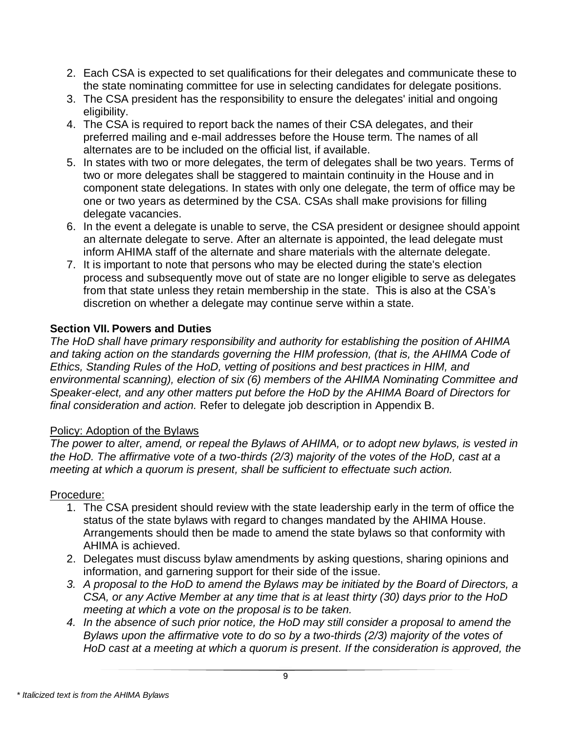- 2. Each CSA is expected to set qualifications for their delegates and communicate these to the state nominating committee for use in selecting candidates for delegate positions.
- 3. The CSA president has the responsibility to ensure the delegates' initial and ongoing eligibility.
- 4. The CSA is required to report back the names of their CSA delegates, and their preferred mailing and e-mail addresses before the House term. The names of all alternates are to be included on the official list, if available.
- 5. In states with two or more delegates, the term of delegates shall be two years. Terms of two or more delegates shall be staggered to maintain continuity in the House and in component state delegations. In states with only one delegate, the term of office may be one or two years as determined by the CSA. CSAs shall make provisions for filling delegate vacancies.
- 6. In the event a delegate is unable to serve, the CSA president or designee should appoint an alternate delegate to serve. After an alternate is appointed, the lead delegate must inform AHIMA staff of the alternate and share materials with the alternate delegate.
- 7. It is important to note that persons who may be elected during the state's election process and subsequently move out of state are no longer eligible to serve as delegates from that state unless they retain membership in the state. This is also at the CSA's discretion on whether a delegate may continue serve within a state.

## <span id="page-8-0"></span>**Section VII. Powers and Duties**

*The HoD shall have primary responsibility and authority for establishing the position of AHIMA and taking action on the standards governing the HIM profession, (that is, the AHIMA Code of Ethics, Standing Rules of the HoD, vetting of positions and best practices in HIM, and environmental scanning), election of six (6) members of the AHIMA Nominating Committee and Speaker-elect, and any other matters put before the HoD by the AHIMA Board of Directors for final consideration and action.* Refer to delegate job description in Appendix B.

### Policy: Adoption of the Bylaws

*The power to alter, amend, or repeal the Bylaws of AHIMA, or to adopt new bylaws, is vested in the HoD. The affirmative vote of a two-thirds (2/3) majority of the votes of the HoD, cast at a meeting at which a quorum is present, shall be sufficient to effectuate such action.*

### Procedure:

- 1. The CSA president should review with the state leadership early in the term of office the status of the state bylaws with regard to changes mandated by the AHIMA House. Arrangements should then be made to amend the state bylaws so that conformity with AHIMA is achieved.
- 2. Delegates must discuss bylaw amendments by asking questions, sharing opinions and information, and garnering support for their side of the issue.
- *3. A proposal to the HoD to amend the Bylaws may be initiated by the Board of Directors, a CSA, or any Active Member at any time that is at least thirty (30) days prior to the HoD meeting at which a vote on the proposal is to be taken.*
- *4. In the absence of such prior notice, the HoD may still consider a proposal to amend the Bylaws upon the affirmative vote to do so by a two-thirds (2/3) majority of the votes of HoD cast at a meeting at which a quorum is present. If the consideration is approved, the*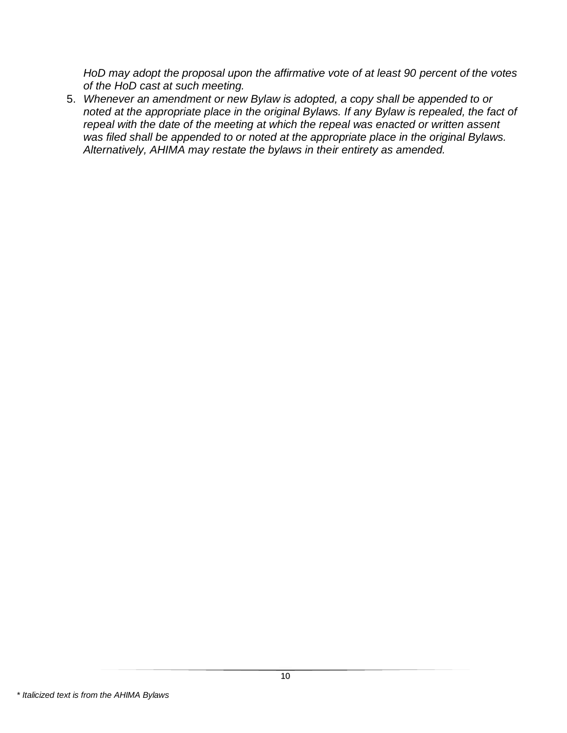*HoD may adopt the proposal upon the affirmative vote of at least 90 percent of the votes of the HoD cast at such meeting.*

<span id="page-9-0"></span>5. *Whenever an amendment or new Bylaw is adopted, a copy shall be appended to or noted at the appropriate place in the original Bylaws. If any Bylaw is repealed, the fact of repeal with the date of the meeting at which the repeal was enacted or written assent was filed shall be appended to or noted at the appropriate place in the original Bylaws. Alternatively, AHIMA may restate the bylaws in their entirety as amended.*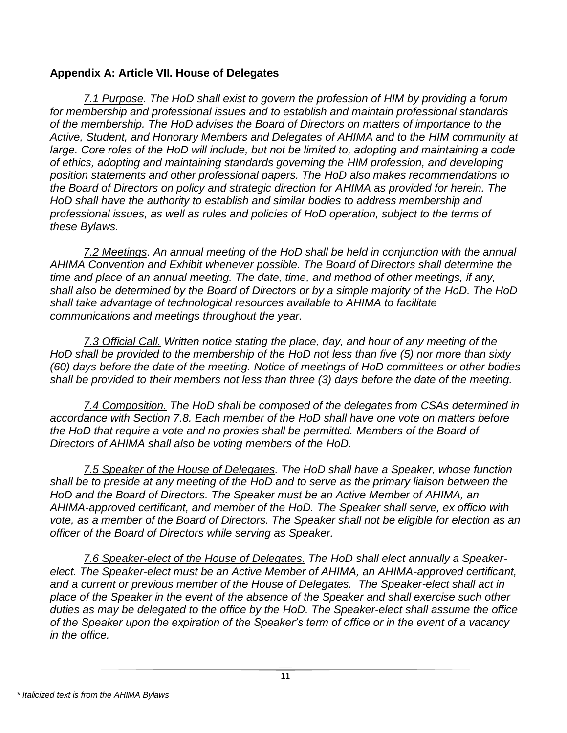#### **Appendix A: Article VII. House of Delegates**

*7.1 Purpose. The HoD shall exist to govern the profession of HIM by providing a forum for membership and professional issues and to establish and maintain professional standards of the membership. The HoD advises the Board of Directors on matters of importance to the Active, Student, and Honorary Members and Delegates of AHIMA and to the HIM community at large. Core roles of the HoD will include, but not be limited to, adopting and maintaining a code of ethics, adopting and maintaining standards governing the HIM profession, and developing position statements and other professional papers. The HoD also makes recommendations to the Board of Directors on policy and strategic direction for AHIMA as provided for herein. The HoD shall have the authority to establish and similar bodies to address membership and professional issues, as well as rules and policies of HoD operation, subject to the terms of these Bylaws.*

*7.2 Meetings. An annual meeting of the HoD shall be held in conjunction with the annual AHIMA Convention and Exhibit whenever possible. The Board of Directors shall determine the time and place of an annual meeting. The date, time, and method of other meetings, if any, shall also be determined by the Board of Directors or by a simple majority of the HoD. The HoD shall take advantage of technological resources available to AHIMA to facilitate communications and meetings throughout the year.*

*7.3 Official Call. Written notice stating the place, day, and hour of any meeting of the HoD shall be provided to the membership of the HoD not less than five (5) nor more than sixty (60) days before the date of the meeting. Notice of meetings of HoD committees or other bodies shall be provided to their members not less than three (3) days before the date of the meeting.*

*7.4 Composition. The HoD shall be composed of the delegates from CSAs determined in accordance with Section 7.8. Each member of the HoD shall have one vote on matters before the HoD that require a vote and no proxies shall be permitted. Members of the Board of Directors of AHIMA shall also be voting members of the HoD.*

*7.5 Speaker of the House of Delegates. The HoD shall have a Speaker, whose function shall be to preside at any meeting of the HoD and to serve as the primary liaison between the HoD and the Board of Directors. The Speaker must be an Active Member of AHIMA, an AHIMA-approved certificant, and member of the HoD. The Speaker shall serve, ex officio with vote, as a member of the Board of Directors. The Speaker shall not be eligible for election as an officer of the Board of Directors while serving as Speaker.*

*7.6 Speaker-elect of the House of Delegates. The HoD shall elect annually a Speaker*elect. The Speaker-elect must be an Active Member of AHIMA, an AHIMA-approved certificant, *and a current or previous member of the House of Delegates. The Speaker-elect shall act in place of the Speaker in the event of the absence of the Speaker and shall exercise such other duties as may be delegated to the office by the HoD. The Speaker-elect shall assume the office of the Speaker upon the expiration of the Speaker's term of office or in the event of a vacancy in the office.*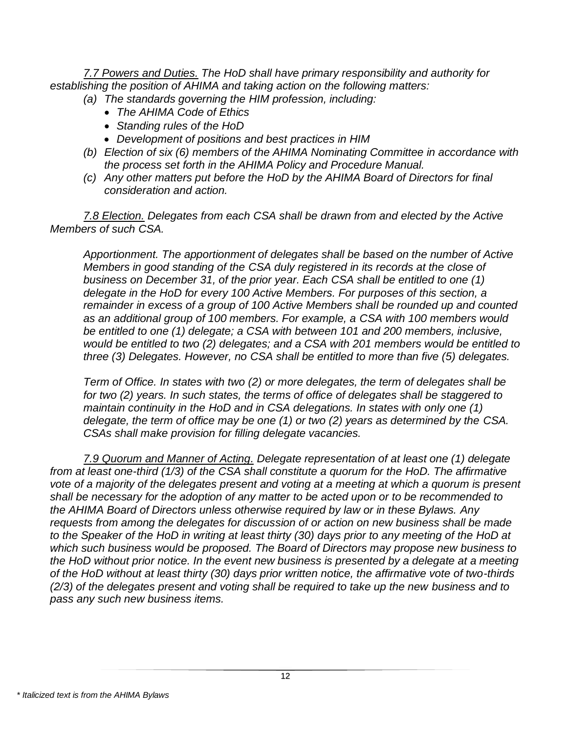*7.7 Powers and Duties. The HoD shall have primary responsibility and authority for establishing the position of AHIMA and taking action on the following matters:*

- *(a) The standards governing the HIM profession, including:*
	- *The AHIMA Code of Ethics*
	- *Standing rules of the HoD*
	- *Development of positions and best practices in HIM*
- *(b) Election of six (6) members of the AHIMA Nominating Committee in accordance with the process set forth in the AHIMA Policy and Procedure Manual.*
- *(c) Any other matters put before the HoD by the AHIMA Board of Directors for final consideration and action.*

*7.8 Election. Delegates from each CSA shall be drawn from and elected by the Active Members of such CSA.*

*Apportionment. The apportionment of delegates shall be based on the number of Active Members in good standing of the CSA duly registered in its records at the close of business on December 31, of the prior year. Each CSA shall be entitled to one (1) delegate in the HoD for every 100 Active Members. For purposes of this section, a remainder in excess of a group of 100 Active Members shall be rounded up and counted as an additional group of 100 members. For example, a CSA with 100 members would be entitled to one (1) delegate; a CSA with between 101 and 200 members, inclusive, would be entitled to two (2) delegates; and a CSA with 201 members would be entitled to three (3) Delegates. However, no CSA shall be entitled to more than five (5) delegates.*

*Term of Office. In states with two (2) or more delegates, the term of delegates shall be for two (2) years. In such states, the terms of office of delegates shall be staggered to maintain continuity in the HoD and in CSA delegations. In states with only one (1) delegate, the term of office may be one (1) or two (2) years as determined by the CSA. CSAs shall make provision for filling delegate vacancies.*

<span id="page-11-0"></span>*7.9 Quorum and Manner of Acting. Delegate representation of at least one (1) delegate from at least one-third (1/3) of the CSA shall constitute a quorum for the HoD. The affirmative vote of a majority of the delegates present and voting at a meeting at which a quorum is present shall be necessary for the adoption of any matter to be acted upon or to be recommended to the AHIMA Board of Directors unless otherwise required by law or in these Bylaws. Any requests from among the delegates for discussion of or action on new business shall be made to the Speaker of the HoD in writing at least thirty (30) days prior to any meeting of the HoD at which such business would be proposed. The Board of Directors may propose new business to the HoD without prior notice. In the event new business is presented by a delegate at a meeting of the HoD without at least thirty (30) days prior written notice, the affirmative vote of two-thirds (2/3) of the delegates present and voting shall be required to take up the new business and to pass any such new business items.*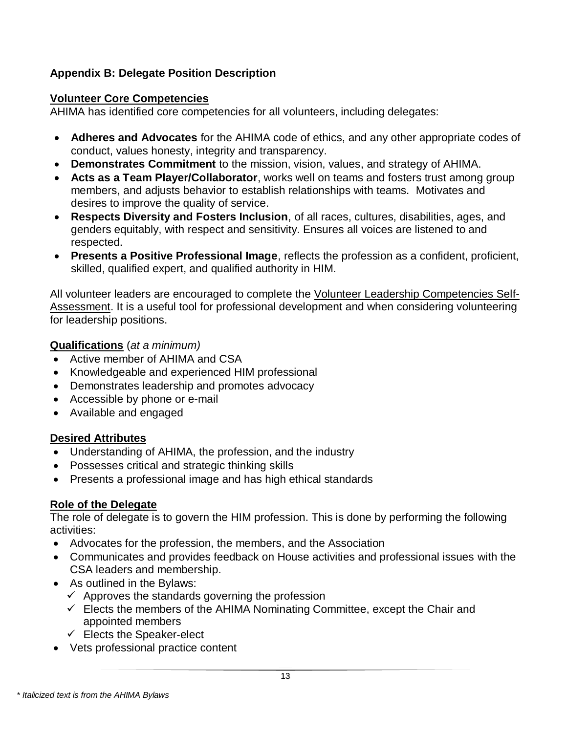## **Appendix B: Delegate Position Description**

#### **Volunteer Core Competencies**

AHIMA has identified core competencies for all volunteers, including delegates:

- **Adheres and Advocates** for the AHIMA code of ethics, and any other appropriate codes of conduct, values honesty, integrity and transparency.
- **Demonstrates Commitment** to the mission, vision, values, and strategy of AHIMA.
- **Acts as a Team Player/Collaborator**, works well on teams and fosters trust among group members, and adjusts behavior to establish relationships with teams. Motivates and desires to improve the quality of service.
- **Respects Diversity and Fosters Inclusion**, of all races, cultures, disabilities, ages, and genders equitably, with respect and sensitivity. Ensures all voices are listened to and respected.
- **Presents a Positive Professional Image**, reflects the profession as a confident, proficient, skilled, qualified expert, and qualified authority in HIM.

All volunteer leaders are encouraged to complete the [Volunteer Leadership Competencies Self-](http://www.ahima.org/volunteers/applicationtoserve-form)[Assessment.](http://www.ahima.org/volunteers/applicationtoserve-form) It is a useful tool for professional development and when considering volunteering for leadership positions.

### **Qualifications** (*at a minimum)*

- Active member of AHIMA and CSA
- Knowledgeable and experienced HIM professional
- Demonstrates leadership and promotes advocacy
- Accessible by phone or e-mail
- Available and engaged

### **Desired Attributes**

- Understanding of AHIMA, the profession, and the industry
- Possesses critical and strategic thinking skills
- Presents a professional image and has high ethical standards

### **Role of the Delegate**

The role of delegate is to govern the HIM profession. This is done by performing the following activities:

- Advocates for the profession, the members, and the Association
- Communicates and provides feedback on House activities and professional issues with the CSA leaders and membership.
- As outlined in the Bylaws:
	- $\checkmark$  Approves the standards governing the profession
	- $\checkmark$  Elects the members of the AHIMA Nominating Committee, except the Chair and appointed members
	- $\checkmark$  Elects the Speaker-elect
- Vets professional practice content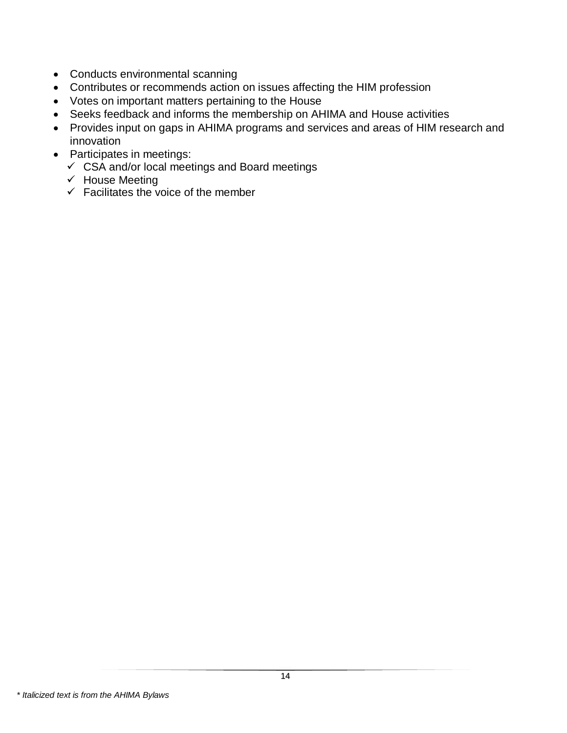- Conducts environmental scanning
- Contributes or recommends action on issues affecting the HIM profession
- Votes on important matters pertaining to the House
- Seeks feedback and informs the membership on AHIMA and House activities
- Provides input on gaps in AHIMA programs and services and areas of HIM research and innovation
- <span id="page-13-0"></span>• Participates in meetings:
	- $\checkmark$  CSA and/or local meetings and Board meetings
	- ✓ House Meeting
	- $\checkmark$  Facilitates the voice of the member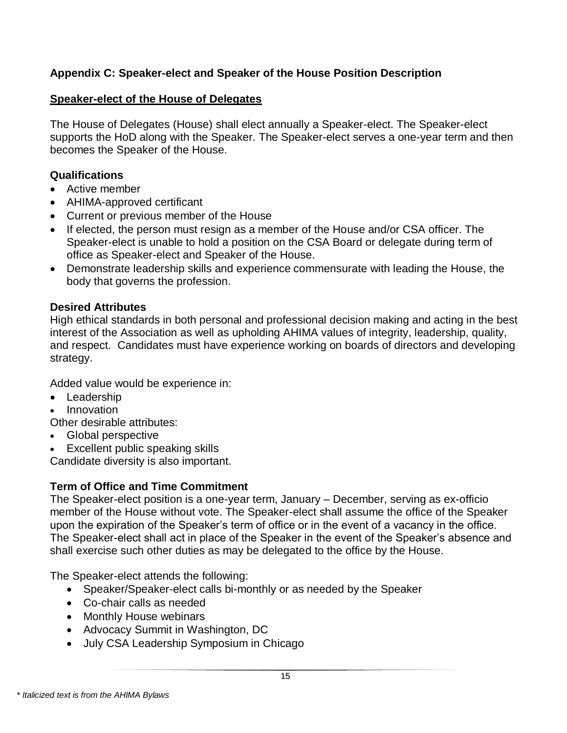## **Appendix C: Speaker-elect and Speaker of the House Position Description**

#### **Speaker-elect of the House of Delegates**

The House of Delegates (House) shall elect annually a Speaker-elect. The Speaker-elect supports the HoD along with the Speaker. The Speaker-elect serves a one-year term and then becomes the Speaker of the House.

#### **Qualifications**

- Active member
- AHIMA-approved certificant
- Current or previous member of the House
- If elected, the person must resign as a member of the House and/or CSA officer. The Speaker-elect is unable to hold a position on the CSA Board or delegate during term of office as Speaker-elect and Speaker of the House.
- Demonstrate leadership skills and experience commensurate with leading the House, the body that governs the profession.

#### **Desired Attributes**

High ethical standards in both personal and professional decision making and acting in the best interest of the Association as well as upholding AHIMA values of integrity, leadership, quality, and respect. Candidates must have experience working on boards of directors and developing strategy.

Added value would be experience in:

- Leadership
- Innovation

Other desirable attributes:

- Global perspective
- Excellent public speaking skills

Candidate diversity is also important.

### **Term of Office and Time Commitment**

The Speaker-elect position is a one-year term, January – December, serving as ex-officio member of the House without vote. The Speaker-elect shall assume the office of the Speaker upon the expiration of the Speaker's term of office or in the event of a vacancy in the office. The Speaker-elect shall act in place of the Speaker in the event of the Speaker's absence and shall exercise such other duties as may be delegated to the office by the House.

The Speaker-elect attends the following:

- Speaker/Speaker-elect calls bi-monthly or as needed by the Speaker
- Co-chair calls as needed
- Monthly House webinars
- Advocacy Summit in Washington, DC
- July CSA Leadership Symposium in Chicago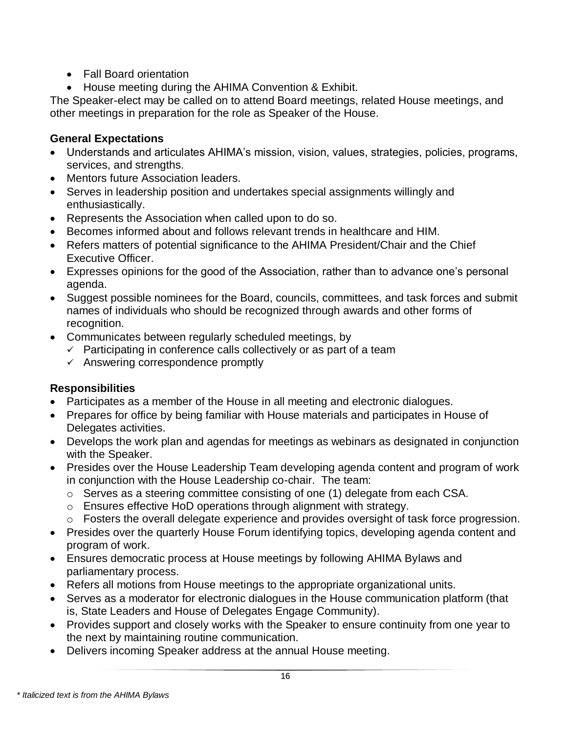- Fall Board orientation
- House meeting during the AHIMA Convention & Exhibit.

The Speaker-elect may be called on to attend Board meetings, related House meetings, and other meetings in preparation for the role as Speaker of the House.

### **General Expectations**

- Understands and articulates AHIMA's mission, vision, values, strategies, policies, programs, services, and strengths.
- Mentors future Association leaders.
- Serves in leadership position and undertakes special assignments willingly and enthusiastically.
- Represents the Association when called upon to do so.
- Becomes informed about and follows relevant trends in healthcare and HIM.
- Refers matters of potential significance to the AHIMA President/Chair and the Chief Executive Officer.
- Expresses opinions for the good of the Association, rather than to advance one's personal agenda.
- Suggest possible nominees for the Board, councils, committees, and task forces and submit names of individuals who should be recognized through awards and other forms of recognition.
- Communicates between regularly scheduled meetings, by
	- $\checkmark$  Participating in conference calls collectively or as part of a team
	- $\checkmark$  Answering correspondence promptly

# **Responsibilities**

- Participates as a member of the House in all meeting and electronic dialogues.
- Prepares for office by being familiar with House materials and participates in House of Delegates activities.
- Develops the work plan and agendas for meetings as webinars as designated in conjunction with the Speaker.
- Presides over the House Leadership Team developing agenda content and program of work in conjunction with the House Leadership co-chair. The team:
	- o Serves as a steering committee consisting of one (1) delegate from each CSA.
	- o Ensures effective HoD operations through alignment with strategy.
	- o Fosters the overall delegate experience and provides oversight of task force progression.
- Presides over the quarterly House Forum identifying topics, developing agenda content and program of work.
- Ensures democratic process at House meetings by following AHIMA Bylaws and parliamentary process.
- Refers all motions from House meetings to the appropriate organizational units.
- Serves as a moderator for electronic dialogues in the House communication platform (that is, State Leaders and House of Delegates Engage Community).
- Provides support and closely works with the Speaker to ensure continuity from one year to the next by maintaining routine communication.
- Delivers incoming Speaker address at the annual House meeting.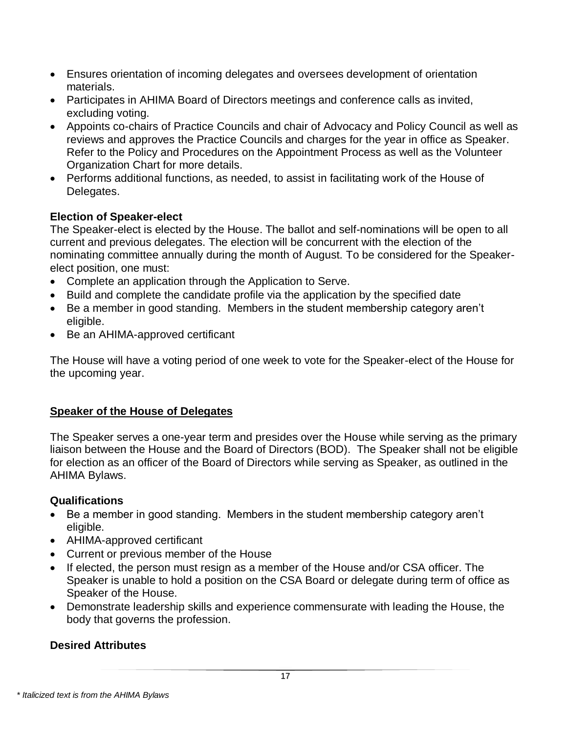- Ensures orientation of incoming delegates and oversees development of orientation materials.
- Participates in AHIMA Board of Directors meetings and conference calls as invited, excluding voting.
- Appoints co-chairs of Practice Councils and chair of Advocacy and Policy Council as well as reviews and approves the Practice Councils and charges for the year in office as Speaker. Refer to the Policy and Procedures on the Appointment Process as well as the Volunteer Organization Chart for more details.
- Performs additional functions, as needed, to assist in facilitating work of the House of Delegates.

### **Election of Speaker-elect**

The Speaker-elect is elected by the House. The ballot and self-nominations will be open to all current and previous delegates. The election will be concurrent with the election of the nominating committee annually during the month of August. To be considered for the Speakerelect position, one must:

- Complete an application through the Application to Serve.
- Build and complete the candidate profile via the application by the specified date
- Be a member in good standing. Members in the student membership category aren't eligible.
- Be an AHIMA-approved certificant

The House will have a voting period of one week to vote for the Speaker-elect of the House for the upcoming year.

# **Speaker of the House of Delegates**

The Speaker serves a one-year term and presides over the House while serving as the primary liaison between the House and the Board of Directors (BOD). The Speaker shall not be eligible for election as an officer of the Board of Directors while serving as Speaker, as outlined in the AHIMA Bylaws.

# **Qualifications**

- Be a member in good standing. Members in the student membership category aren't eligible.
- AHIMA-approved certificant
- Current or previous member of the House
- If elected, the person must resign as a member of the House and/or CSA officer. The Speaker is unable to hold a position on the CSA Board or delegate during term of office as Speaker of the House.
- Demonstrate leadership skills and experience commensurate with leading the House, the body that governs the profession.

# **Desired Attributes**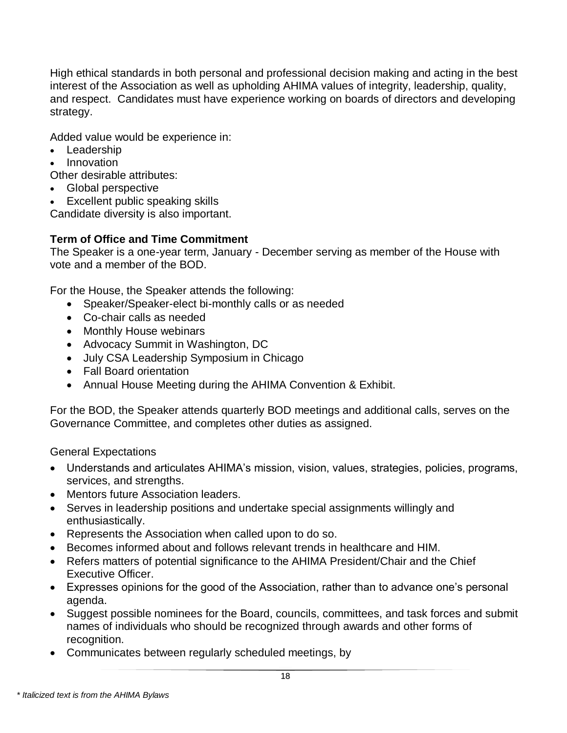High ethical standards in both personal and professional decision making and acting in the best interest of the Association as well as upholding AHIMA values of integrity, leadership, quality, and respect. Candidates must have experience working on boards of directors and developing strategy.

Added value would be experience in:

- Leadership
- Innovation

Other desirable attributes:

- Global perspective
- Excellent public speaking skills

Candidate diversity is also important.

# **Term of Office and Time Commitment**

The Speaker is a one-year term, January - December serving as member of the House with vote and a member of the BOD.

For the House, the Speaker attends the following:

- Speaker/Speaker-elect bi-monthly calls or as needed
- Co-chair calls as needed
- Monthly House webinars
- Advocacy Summit in Washington, DC
- July CSA Leadership Symposium in Chicago
- Fall Board orientation
- Annual House Meeting during the AHIMA Convention & Exhibit.

For the BOD, the Speaker attends quarterly BOD meetings and additional calls, serves on the Governance Committee, and completes other duties as assigned.

General Expectations

- Understands and articulates AHIMA's mission, vision, values, strategies, policies, programs, services, and strengths.
- Mentors future Association leaders.
- Serves in leadership positions and undertake special assignments willingly and enthusiastically.
- Represents the Association when called upon to do so.
- Becomes informed about and follows relevant trends in healthcare and HIM.
- Refers matters of potential significance to the AHIMA President/Chair and the Chief Executive Officer.
- Expresses opinions for the good of the Association, rather than to advance one's personal agenda.
- Suggest possible nominees for the Board, councils, committees, and task forces and submit names of individuals who should be recognized through awards and other forms of recognition.
- Communicates between regularly scheduled meetings, by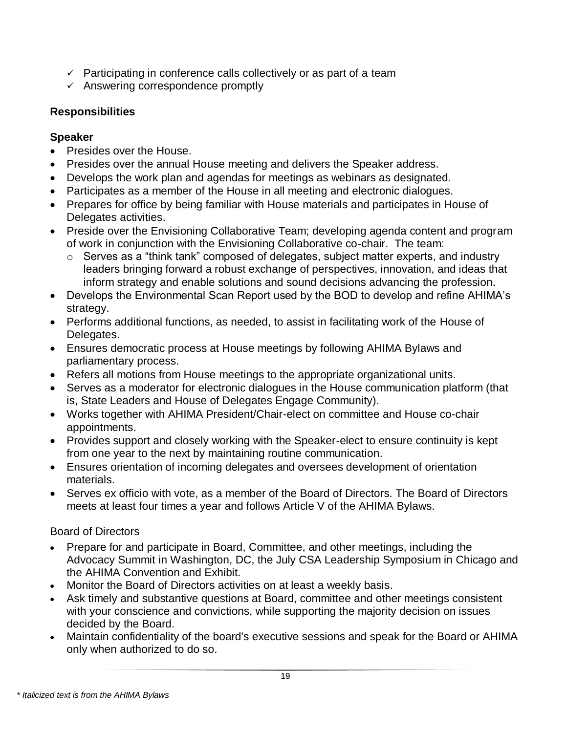- $\checkmark$  Participating in conference calls collectively or as part of a team
- ✓ Answering correspondence promptly

# **Responsibilities**

# **Speaker**

- Presides over the House.
- Presides over the annual House meeting and delivers the Speaker address.
- Develops the work plan and agendas for meetings as webinars as designated.
- Participates as a member of the House in all meeting and electronic dialogues.
- Prepares for office by being familiar with House materials and participates in House of Delegates activities.
- Preside over the Envisioning Collaborative Team; developing agenda content and program of work in conjunction with the Envisioning Collaborative co-chair. The team:
	- o Serves as a "think tank" composed of delegates, subject matter experts, and industry leaders bringing forward a robust exchange of perspectives, innovation, and ideas that inform strategy and enable solutions and sound decisions advancing the profession.
- Develops the Environmental Scan Report used by the BOD to develop and refine AHIMA's strategy.
- Performs additional functions, as needed, to assist in facilitating work of the House of Delegates.
- Ensures democratic process at House meetings by following AHIMA Bylaws and parliamentary process.
- Refers all motions from House meetings to the appropriate organizational units.
- Serves as a moderator for electronic dialogues in the House communication platform (that is, State Leaders and House of Delegates Engage Community).
- Works together with AHIMA President/Chair-elect on committee and House co-chair appointments.
- Provides support and closely working with the Speaker-elect to ensure continuity is kept from one year to the next by maintaining routine communication.
- Ensures orientation of incoming delegates and oversees development of orientation materials.
- Serves ex officio with vote, as a member of the Board of Directors. The Board of Directors meets at least four times a year and follows Article V of the AHIMA Bylaws.

# Board of Directors

- Prepare for and participate in Board, Committee, and other meetings, including the Advocacy Summit in Washington, DC, the July CSA Leadership Symposium in Chicago and the AHIMA Convention and Exhibit.
- Monitor the Board of Directors activities on at least a weekly basis.
- Ask timely and substantive questions at Board, committee and other meetings consistent with your conscience and convictions, while supporting the majority decision on issues decided by the Board.
- Maintain confidentiality of the board's executive sessions and speak for the Board or AHIMA only when authorized to do so.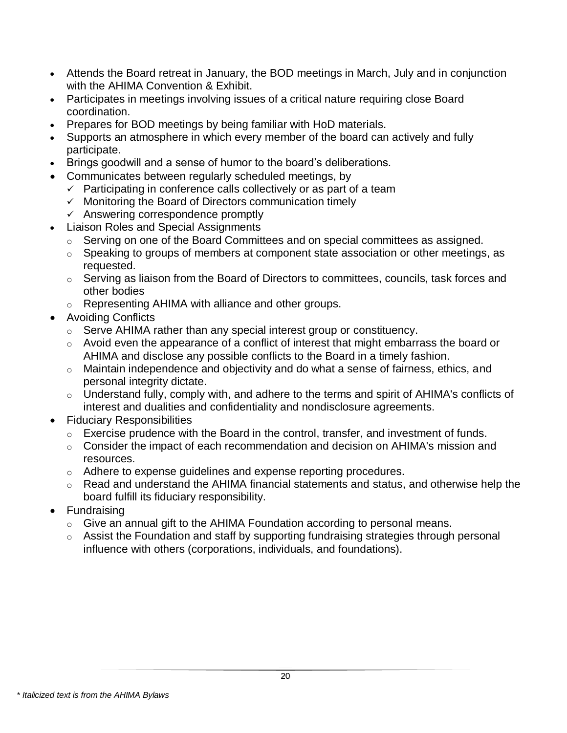- Attends the Board retreat in January, the BOD meetings in March, July and in conjunction with the AHIMA Convention & Exhibit.
- Participates in meetings involving issues of a critical nature requiring close Board coordination.
- Prepares for BOD meetings by being familiar with HoD materials.
- Supports an atmosphere in which every member of the board can actively and fully participate.
- Brings goodwill and a sense of humor to the board's deliberations.
- Communicates between regularly scheduled meetings, by
	- $\checkmark$  Participating in conference calls collectively or as part of a team
	- ✓ Monitoring the Board of Directors communication timely
	- $\checkmark$  Answering correspondence promptly
	- Liaison Roles and Special Assignments
		- o Serving on one of the Board Committees and on special committees as assigned.
		- o Speaking to groups of members at component state association or other meetings, as requested.
		- $\circ$  Serving as liaison from the Board of Directors to committees, councils, task forces and other bodies
		- o Representing AHIMA with alliance and other groups.
- Avoiding Conflicts
	- o Serve AHIMA rather than any special interest group or constituency.
	- o Avoid even the appearance of a conflict of interest that might embarrass the board or AHIMA and disclose any possible conflicts to the Board in a timely fashion.
	- o Maintain independence and objectivity and do what a sense of fairness, ethics, and personal integrity dictate.
	- o Understand fully, comply with, and adhere to the terms and spirit of AHIMA's conflicts of interest and dualities and confidentiality and nondisclosure agreements.
- Fiduciary Responsibilities
	- o Exercise prudence with the Board in the control, transfer, and investment of funds.
	- o Consider the impact of each recommendation and decision on AHIMA's mission and resources.
	- $\circ$  Adhere to expense guidelines and expense reporting procedures.
	- o Read and understand the AHIMA financial statements and status, and otherwise help the board fulfill its fiduciary responsibility.
- <span id="page-19-0"></span>• Fundraising
	- $\circ$  Give an annual gift to the AHIMA Foundation according to personal means.
	- o Assist the Foundation and staff by supporting fundraising strategies through personal influence with others (corporations, individuals, and foundations).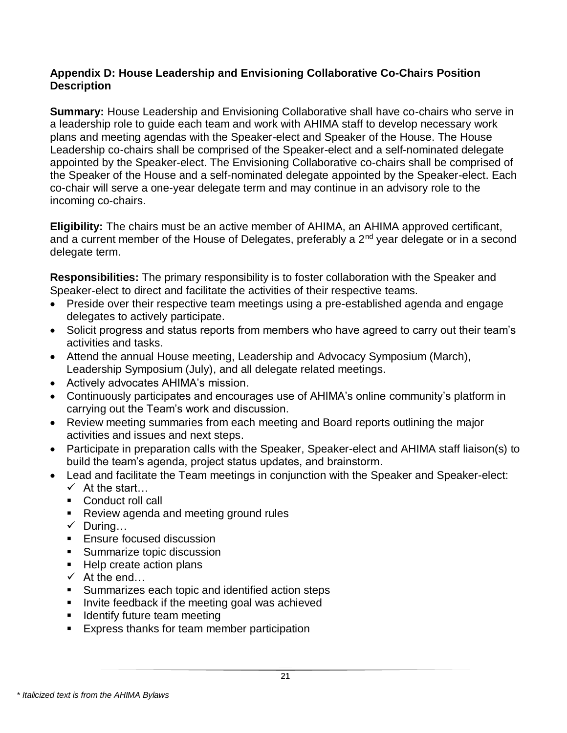#### **Appendix D: House Leadership and Envisioning Collaborative Co-Chairs Position Description**

**Summary:** House Leadership and Envisioning Collaborative shall have co-chairs who serve in a leadership role to guide each team and work with AHIMA staff to develop necessary work plans and meeting agendas with the Speaker-elect and Speaker of the House. The House Leadership co-chairs shall be comprised of the Speaker-elect and a self-nominated delegate appointed by the Speaker-elect. The Envisioning Collaborative co-chairs shall be comprised of the Speaker of the House and a self-nominated delegate appointed by the Speaker-elect. Each co-chair will serve a one-year delegate term and may continue in an advisory role to the incoming co-chairs.

**Eligibility:** The chairs must be an active member of AHIMA, an AHIMA approved certificant, and a current member of the House of Delegates, preferably a  $2<sup>nd</sup>$  year delegate or in a second delegate term.

**Responsibilities:** The primary responsibility is to foster collaboration with the Speaker and Speaker-elect to direct and facilitate the activities of their respective teams.

- Preside over their respective team meetings using a pre-established agenda and engage delegates to actively participate.
- Solicit progress and status reports from members who have agreed to carry out their team's activities and tasks.
- Attend the annual House meeting, Leadership and Advocacy Symposium (March), Leadership Symposium (July), and all delegate related meetings.
- Actively advocates AHIMA's mission.
- Continuously participates and encourages use of AHIMA's online community's platform in carrying out the Team's work and discussion.
- Review meeting summaries from each meeting and Board reports outlining the major activities and issues and next steps.
- Participate in preparation calls with the Speaker, Speaker-elect and AHIMA staff liaison(s) to build the team's agenda, project status updates, and brainstorm.
- Lead and facilitate the Team meetings in conjunction with the Speaker and Speaker-elect:  $\checkmark$  At the start…
	- Conduct roll call
	- Review agenda and meeting ground rules
	- $\checkmark$  During...
	- Ensure focused discussion
	- Summarize topic discussion
	- Help create action plans
	- $\checkmark$  At the end...
	- Summarizes each topic and identified action steps
	- **E** Invite feedback if the meeting goal was achieved
	- **E** Identify future team meeting
	- Express thanks for team member participation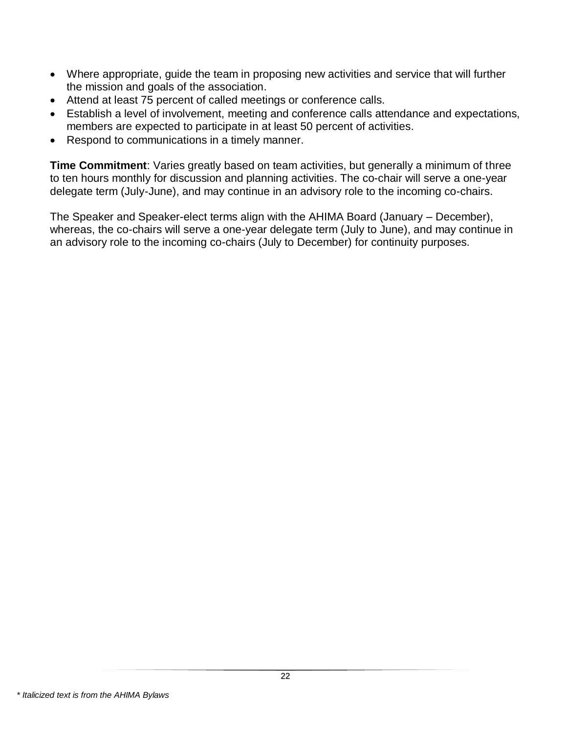- Where appropriate, guide the team in proposing new activities and service that will further the mission and goals of the association.
- Attend at least 75 percent of called meetings or conference calls.
- Establish a level of involvement, meeting and conference calls attendance and expectations, members are expected to participate in at least 50 percent of activities.
- Respond to communications in a timely manner.

**Time Commitment**: Varies greatly based on team activities, but generally a minimum of three to ten hours monthly for discussion and planning activities. The co-chair will serve a one-year delegate term (July-June), and may continue in an advisory role to the incoming co-chairs.

The Speaker and Speaker-elect terms align with the AHIMA Board (January – December), whereas, the co-chairs will serve a one-year delegate term (July to June), and may continue in an advisory role to the incoming co-chairs (July to December) for continuity purposes.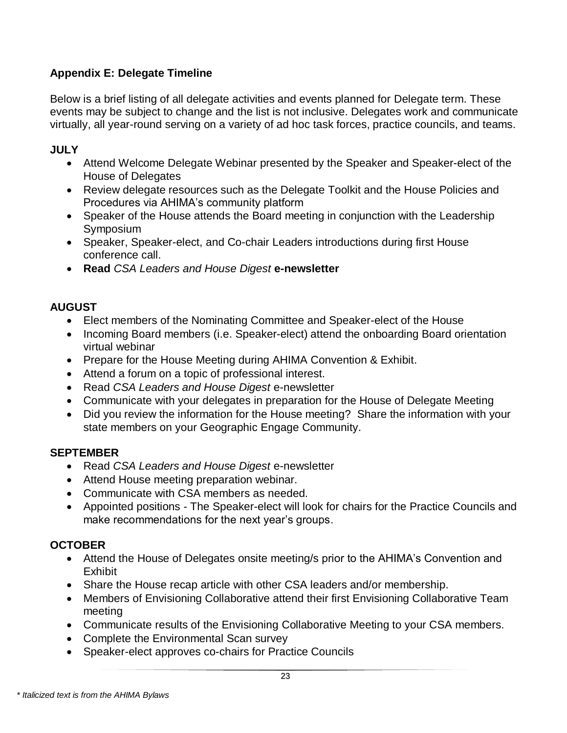# <span id="page-22-0"></span>**Appendix E: Delegate Timeline**

Below is a brief listing of all delegate activities and events planned for Delegate term. These events may be subject to change and the list is not inclusive. Delegates work and communicate virtually, all year-round serving on a variety of ad hoc task forces, practice councils, and teams.

### **JULY**

- Attend Welcome Delegate Webinar presented by the Speaker and Speaker-elect of the House of Delegates
- Review delegate resources such as the Delegate Toolkit and the House Policies and Procedures via AHIMA's community platform
- Speaker of the House attends the Board meeting in conjunction with the Leadership Symposium
- Speaker, Speaker-elect, and Co-chair Leaders introductions during first House conference call.
- **Read** *CSA Leaders and House Digest* **e-newsletter**

## **AUGUST**

- Elect members of the Nominating Committee and Speaker-elect of the House
- Incoming Board members (i.e. Speaker-elect) attend the onboarding Board orientation virtual webinar
- Prepare for the House Meeting during AHIMA Convention & Exhibit.
- Attend a forum on a topic of professional interest.
- Read *CSA Leaders and House Digest* e-newsletter
- Communicate with your delegates in preparation for the House of Delegate Meeting
- Did you review the information for the House meeting? Share the information with your state members on your Geographic Engage Community.

# **SEPTEMBER**

- Read *CSA Leaders and House Digest* e-newsletter
- Attend House meeting preparation webinar.
- Communicate with CSA members as needed.
- Appointed positions The Speaker-elect will look for chairs for the Practice Councils and make recommendations for the next year's groups.

# **OCTOBER**

- Attend the House of Delegates onsite meeting/s prior to the AHIMA's Convention and Exhibit
- Share the House recap article with other CSA leaders and/or membership.
- Members of Envisioning Collaborative attend their first Envisioning Collaborative Team meeting
- Communicate results of the Envisioning Collaborative Meeting to your CSA members.
- Complete the Environmental Scan survey
- Speaker-elect approves co-chairs for Practice Councils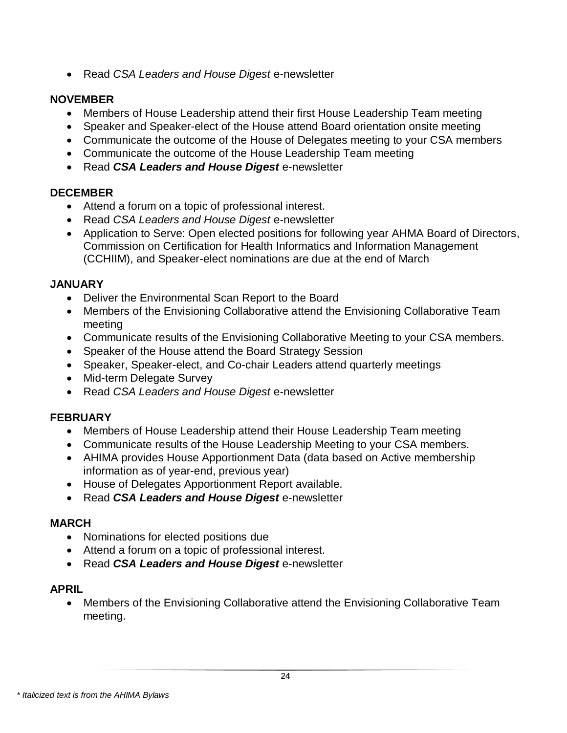• Read *CSA Leaders and House Digest* e-newsletter

### **NOVEMBER**

- Members of House Leadership attend their first House Leadership Team meeting
- Speaker and Speaker-elect of the House attend Board orientation onsite meeting
- Communicate the outcome of the House of Delegates meeting to your CSA members
- Communicate the outcome of the House Leadership Team meeting
- Read *CSA Leaders and House Digest* e-newsletter

## **DECEMBER**

- Attend a forum on a topic of professional interest.
- Read *CSA Leaders and House Digest* e-newsletter
- Application to Serve: Open elected positions for following year AHMA Board of Directors, Commission on Certification for Health Informatics and Information Management (CCHIIM), and Speaker-elect nominations are due at the end of March

## **JANUARY**

- Deliver the Environmental Scan Report to the Board
- Members of the Envisioning Collaborative attend the Envisioning Collaborative Team meeting
- Communicate results of the Envisioning Collaborative Meeting to your CSA members.
- Speaker of the House attend the Board Strategy Session
- Speaker, Speaker-elect, and Co-chair Leaders attend quarterly meetings
- Mid-term Delegate Survey
- Read *CSA Leaders and House Digest* e-newsletter

### **FEBRUARY**

- Members of House Leadership attend their House Leadership Team meeting
- Communicate results of the House Leadership Meeting to your CSA members.
- AHIMA provides House Apportionment Data (data based on Active membership information as of year-end, previous year)
- House of Delegates Apportionment Report available.
- Read *CSA Leaders and House Digest* e-newsletter

### **MARCH**

- Nominations for elected positions due
- Attend a forum on a topic of professional interest.
- Read *CSA Leaders and House Digest* e-newsletter

### **APRIL**

• Members of the Envisioning Collaborative attend the Envisioning Collaborative Team meeting.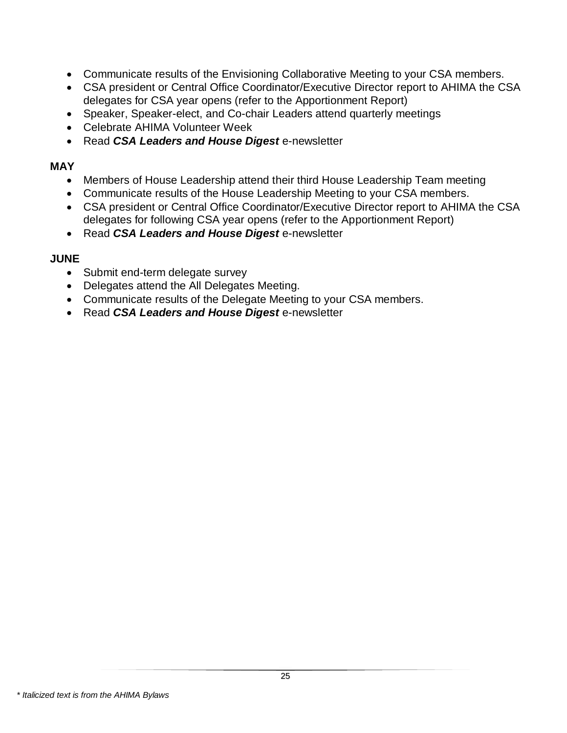- Communicate results of the Envisioning Collaborative Meeting to your CSA members.
- CSA president or Central Office Coordinator/Executive Director report to AHIMA the CSA delegates for CSA year opens (refer to the Apportionment Report)
- Speaker, Speaker-elect, and Co-chair Leaders attend quarterly meetings
- Celebrate AHIMA Volunteer Week
- Read *CSA Leaders and House Digest* e-newsletter

#### **MAY**

- Members of House Leadership attend their third House Leadership Team meeting
- Communicate results of the House Leadership Meeting to your CSA members.
- CSA president or Central Office Coordinator/Executive Director report to AHIMA the CSA delegates for following CSA year opens (refer to the Apportionment Report)
- Read *CSA Leaders and House Digest* e-newsletter

#### **JUNE**

- Submit end-term delegate survey
- Delegates attend the All Delegates Meeting.
- Communicate results of the Delegate Meeting to your CSA members.
- Read *CSA Leaders and House Digest* e-newsletter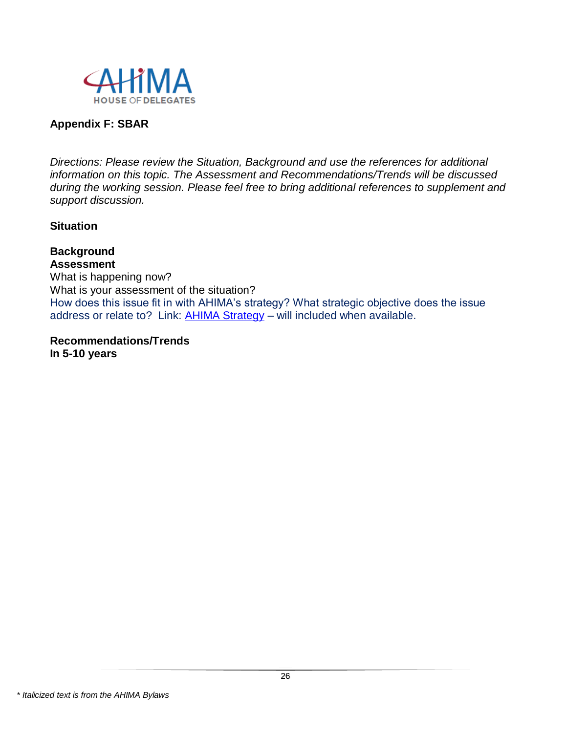

#### **Appendix F: SBAR**

*Directions: Please review the Situation, Background and use the references for additional information on this topic. The Assessment and Recommendations/Trends will be discussed during the working session. Please feel free to bring additional references to supplement and support discussion.* 

#### **Situation**

**Background Assessment** What is happening now? What is your assessment of the situation? How does this issue fit in with AHIMA's strategy? What strategic objective does the issue address or relate to? Link: [AHIMA Strategy](http://www.ahima.org/about/aboutahima?tabid=strategy) - will included when available.

**Recommendations/Trends In 5-10 years**